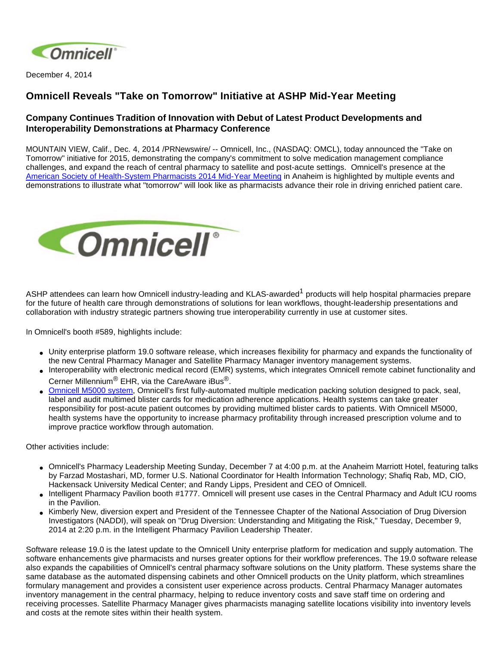

December 4, 2014

## **Omnicell Reveals "Take on Tomorrow" Initiative at ASHP Mid-Year Meeting**

## **Company Continues Tradition of Innovation with Debut of Latest Product Developments and Interoperability Demonstrations at Pharmacy Conference**

MOUNTAIN VIEW, Calif., Dec. 4, 2014 /PRNewswire/ -- Omnicell, Inc., (NASDAQ: OMCL), today announced the "Take on Tomorrow" initiative for 2015, demonstrating the company's commitment to solve medication management compliance challenges, and expand the reach of central pharmacy to satellite and post-acute settings. Omnicell's presence at the [American Society of Health-System Pharmacists 2014 Mid-Year Meeting](http://connect.ashp.org/midyear/home?ssopc=1) in Anaheim is highlighted by multiple events and demonstrations to illustrate what "tomorrow" will look like as pharmacists advance their role in driving enriched patient care.



ASHP attendees can learn how Omnicell industry-leading and KLAS-awarded<sup>1</sup> products will help hospital pharmacies prepare for the future of health care through demonstrations of solutions for lean workflows, thought-leadership presentations and collaboration with industry strategic partners showing true interoperability currently in use at customer sites.

In Omnicell's booth #589, highlights include:

- Unity enterprise platform 19.0 software release, which increases flexibility for pharmacy and expands the functionality of the new Central Pharmacy Manager and Satellite Pharmacy Manager inventory management systems.
- Interoperability with electronic medical record (EMR) systems, which integrates Omnicell remote cabinet functionality and Cerner Millennium<sup>®</sup> EHR, via the CareAware iBus<sup>®</sup>.
- [Omnicell M5000 system](https://www.youtube.com/watch?v=E6XtbtpQlvk), Omnicell's first fully-automated multiple medication packing solution designed to pack, seal, label and audit multimed blister cards for medication adherence applications. Health systems can take greater responsibility for post-acute patient outcomes by providing multimed blister cards to patients. With Omnicell M5000, health systems have the opportunity to increase pharmacy profitability through increased prescription volume and to improve practice workflow through automation.

Other activities include:

- Omnicell's Pharmacy Leadership Meeting Sunday, December 7 at 4:00 p.m. at the Anaheim Marriott Hotel, featuring talks by Farzad Mostashari, MD, former U.S. National Coordinator for Health Information Technology; Shafiq Rab, MD, CIO, Hackensack University Medical Center; and Randy Lipps, President and CEO of Omnicell.
- Intelligent Pharmacy Pavilion booth #1777. Omnicell will present use cases in the Central Pharmacy and Adult ICU rooms in the Pavilion.
- Kimberly New, diversion expert and President of the Tennessee Chapter of the National Association of Drug Diversion Investigators (NADDI), will speak on "Drug Diversion: Understanding and Mitigating the Risk," Tuesday, December 9, 2014 at 2:20 p.m. in the Intelligent Pharmacy Pavilion Leadership Theater.

Software release 19.0 is the latest update to the Omnicell Unity enterprise platform for medication and supply automation. The software enhancements give pharmacists and nurses greater options for their workflow preferences. The 19.0 software release also expands the capabilities of Omnicell's central pharmacy software solutions on the Unity platform. These systems share the same database as the automated dispensing cabinets and other Omnicell products on the Unity platform, which streamlines formulary management and provides a consistent user experience across products. Central Pharmacy Manager automates inventory management in the central pharmacy, helping to reduce inventory costs and save staff time on ordering and receiving processes. Satellite Pharmacy Manager gives pharmacists managing satellite locations visibility into inventory levels and costs at the remote sites within their health system.